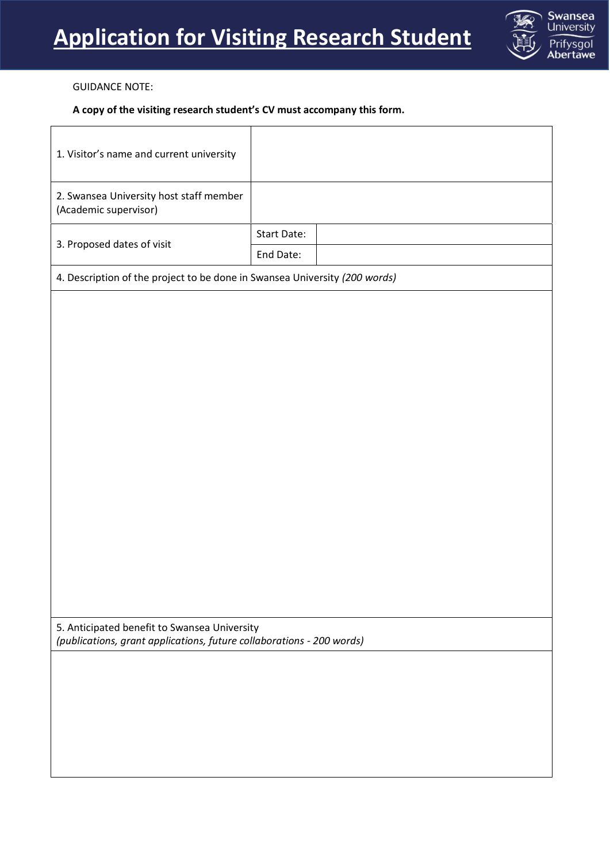

## GUIDANCE NOTE:

## **A copy of the visiting research student's CV must accompany this form.**

| 1. Visitor's name and current university                                                                              |                    |  |  |
|-----------------------------------------------------------------------------------------------------------------------|--------------------|--|--|
| 2. Swansea University host staff member<br>(Academic supervisor)                                                      |                    |  |  |
|                                                                                                                       | <b>Start Date:</b> |  |  |
| 3. Proposed dates of visit                                                                                            | End Date:          |  |  |
| 4. Description of the project to be done in Swansea University (200 words)                                            |                    |  |  |
|                                                                                                                       |                    |  |  |
|                                                                                                                       |                    |  |  |
|                                                                                                                       |                    |  |  |
|                                                                                                                       |                    |  |  |
|                                                                                                                       |                    |  |  |
|                                                                                                                       |                    |  |  |
|                                                                                                                       |                    |  |  |
|                                                                                                                       |                    |  |  |
|                                                                                                                       |                    |  |  |
|                                                                                                                       |                    |  |  |
|                                                                                                                       |                    |  |  |
|                                                                                                                       |                    |  |  |
|                                                                                                                       |                    |  |  |
|                                                                                                                       |                    |  |  |
|                                                                                                                       |                    |  |  |
| 5. Anticipated benefit to Swansea University<br>(publications, grant applications, future collaborations - 200 words) |                    |  |  |
|                                                                                                                       |                    |  |  |
|                                                                                                                       |                    |  |  |
|                                                                                                                       |                    |  |  |
|                                                                                                                       |                    |  |  |
|                                                                                                                       |                    |  |  |
|                                                                                                                       |                    |  |  |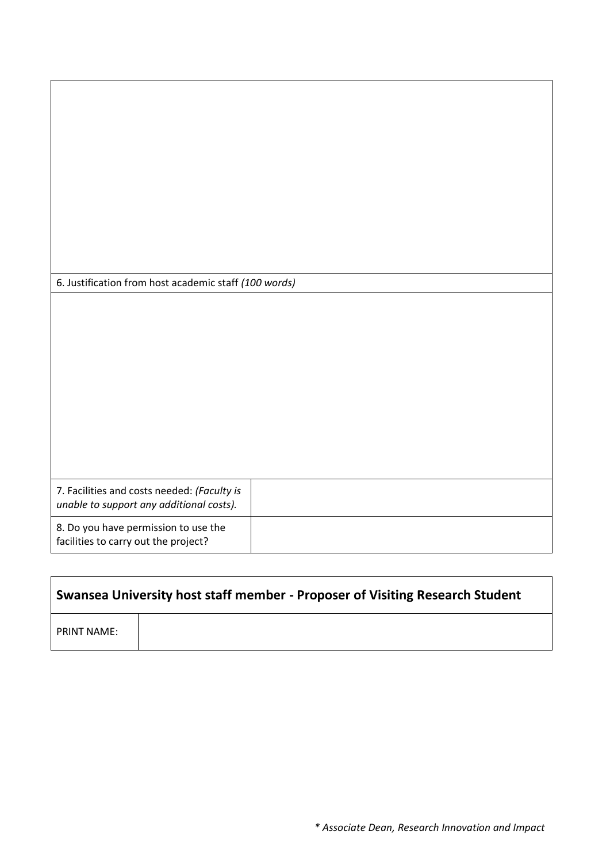| 6. Justification from host academic staff (100 words)                                   |  |
|-----------------------------------------------------------------------------------------|--|
|                                                                                         |  |
|                                                                                         |  |
|                                                                                         |  |
|                                                                                         |  |
|                                                                                         |  |
|                                                                                         |  |
|                                                                                         |  |
|                                                                                         |  |
|                                                                                         |  |
|                                                                                         |  |
| 7. Facilities and costs needed: (Faculty is<br>unable to support any additional costs). |  |
| 8. Do you have permission to use the<br>facilities to carry out the project?            |  |

| Swansea University host staff member - Proposer of Visiting Research Student |  |  |  |  |
|------------------------------------------------------------------------------|--|--|--|--|
| <b>PRINT NAME:</b>                                                           |  |  |  |  |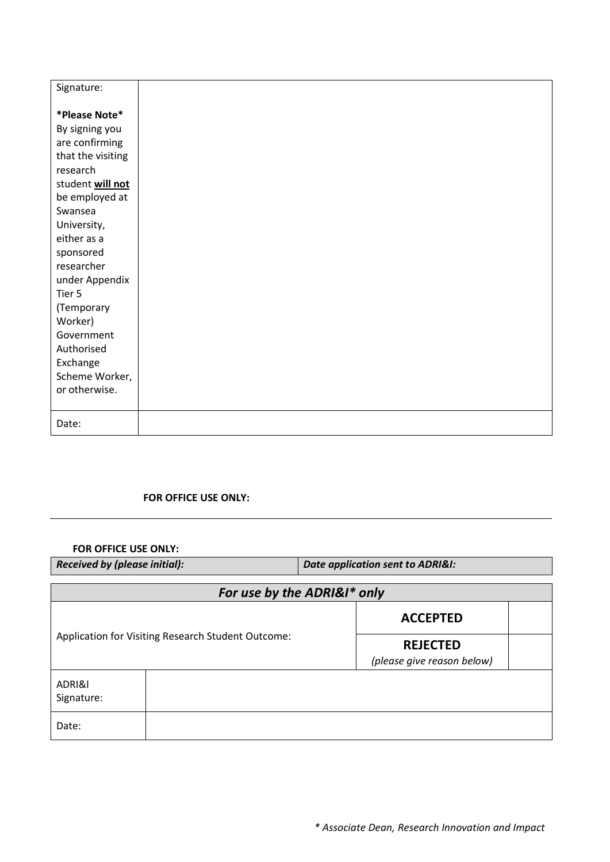| Signature:                                                                                                                                                                                                                                                                                                  |  |  |  |
|-------------------------------------------------------------------------------------------------------------------------------------------------------------------------------------------------------------------------------------------------------------------------------------------------------------|--|--|--|
| *Please Note*<br>By signing you<br>are confirming<br>that the visiting<br>research<br>student will not<br>be employed at<br>Swansea<br>University,<br>either as a<br>sponsored<br>researcher<br>under Appendix<br>Tier 5<br>(Temporary<br>Worker)<br>Government<br>Authorised<br>Exchange<br>Scheme Worker, |  |  |  |
| or otherwise.                                                                                                                                                                                                                                                                                               |  |  |  |
| Date:                                                                                                                                                                                                                                                                                                       |  |  |  |

## **FOR OFFICE USE ONLY:**

**FOR OFFICE USE ONLY:**

*Received by (please initial): Date application sent to ADRI&I: For use by the ADRI&I\* only* Application for Visiting Research Student Outcome: **ACCEPTED REJECTED** *(please give reason below)* ADRI&I Signature: Date: